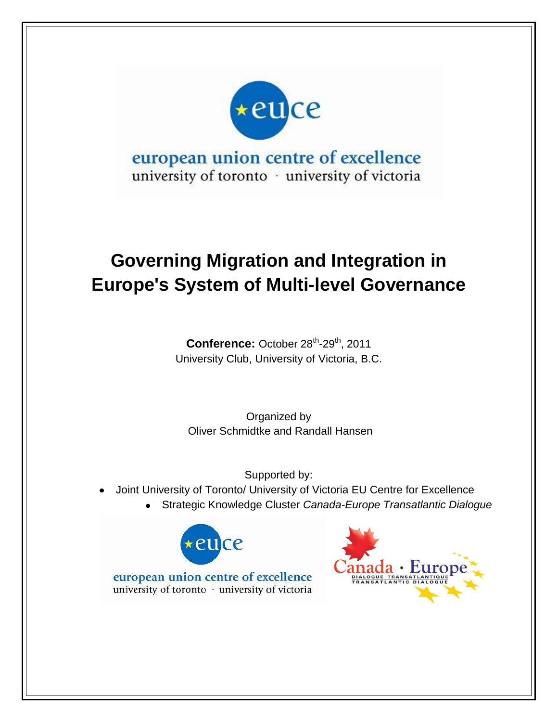

## european union centre of excellence university of toronto · university of victoria

# **Governing Migration and Integration in Europe's System of Multi-level Governance**

Conference: October 28<sup>th</sup>-29<sup>th</sup>, 2011 University Club, University of Victoria, B.C.

Organized by Oliver Schmidtke and Randall Hansen

Supported by:

- Joint University of Toronto/ University of Victoria EU Centre for Excellence
	- Strategic Knowledge Cluster *Canada-Europe Transatlantic Dialogue*





european union centre of excellence university of toronto · university of victoria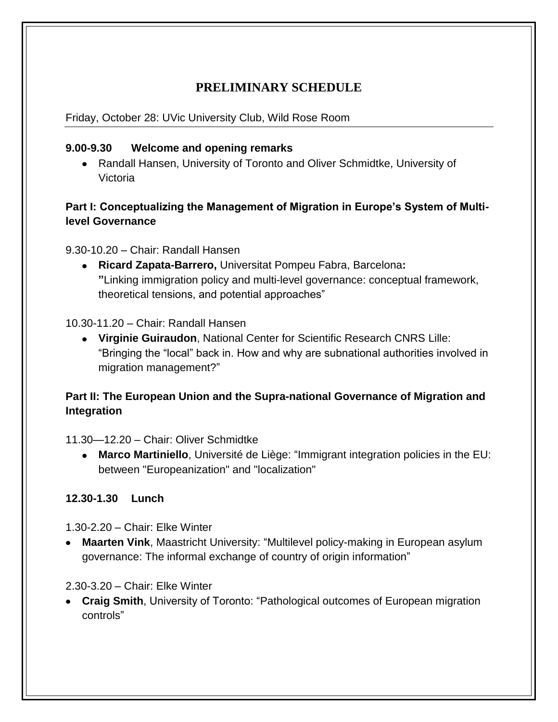### **PRELIMINARY SCHEDULE**

Friday, October 28: UVic University Club, Wild Rose Room

#### **9.00-9.30 Welcome and opening remarks**

Randall Hansen, University of Toronto and Oliver Schmidtke, University of Victoria

#### **Part I: Conceptualizing the Management of Migration in Europe's System of Multilevel Governance**

9.30-10.20 – Chair: Randall Hansen

**Ricard Zapata-Barrero,** Universitat Pompeu Fabra, Barcelona**: "**Linking immigration policy and multi-level governance: conceptual framework, theoretical tensions, and potential approaches"

10.30-11.20 – Chair: Randall Hansen

**Virginie Guiraudon**, National Center for Scientific Research CNRS Lille: "Bringing the "local" back in. How and why are subnational authorities involved in migration management?"

#### **Part II: The European Union and the Supra-national Governance of Migration and Integration**

11.30—12.20 – Chair: Oliver Schmidtke

**Marco Martiniello**, Université de Liège: "Immigrant integration policies in the EU: between "Europeanization" and "localization"

#### **12.30-1.30 Lunch**

1.30-2.20 – Chair: Elke Winter

• Maarten Vink, Maastricht University: "Multilevel policy-making in European asylum governance: The informal exchange of country of origin information"

#### 2.30-3.20 – Chair: Elke Winter

• Craig Smith, University of Toronto: "Pathological outcomes of European migration controls"